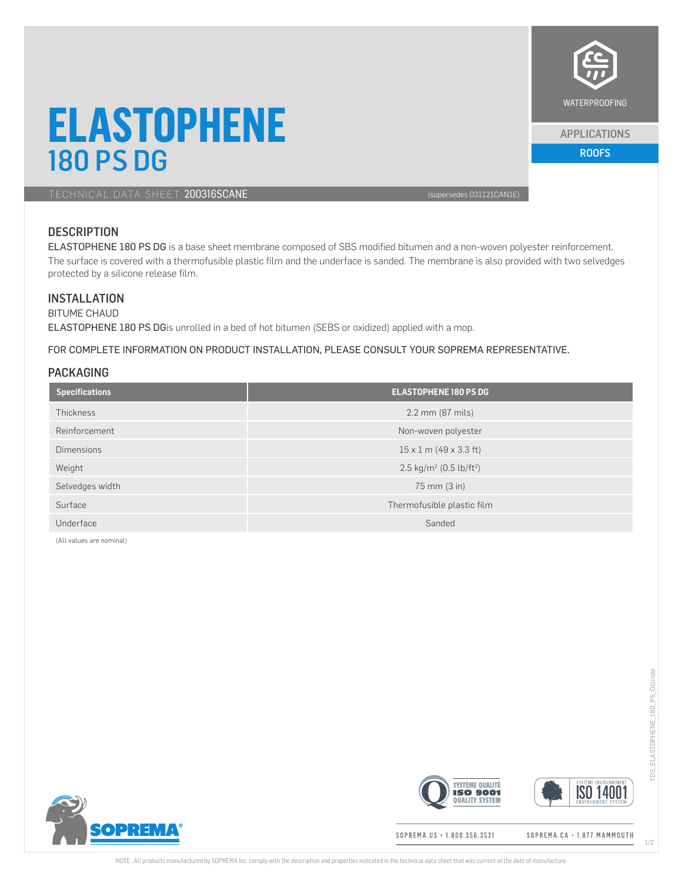

#### APPLICATIONS

# **ELASTOPHENE 180 PS DG ROOFS**

TECHNICAL DATA SHEET 200316SCANE (supersedes 031121CAN1E)

## **DESCRIPTION**

ELASTOPHENE 180 PS DG is a base sheet membrane composed of SBS modified bitumen and a non-woven polyester reinforcement. The surface is covered with a thermofusible plastic film and the underface is sanded. The membrane is also provided with two selvedges protected by a silicone release film.

## **INSTALLATION**

BITUME CHAUD ELASTOPHENE 180 PS DGis unrolled in a bed of hot bitumen (SEBS or oxidized) applied with a mop.

FOR COMPLETE INFORMATION ON PRODUCT INSTALLATION, PLEASE CONSULT YOUR SOPREMA REPRESENTATIVE.

### PACKAGING

| <b>Specifications</b> | <b>ELASTOPHENE 180 PS DG</b>                    |  |
|-----------------------|-------------------------------------------------|--|
| Thickness             | 2.2 mm (87 mils)                                |  |
| Reinforcement         | Non-woven polyester                             |  |
| <b>Dimensions</b>     | $15 \times 1$ m (49 x 3.3 ft)                   |  |
| Weight                | 2.5 kg/m <sup>2</sup> (0.5 lb/ft <sup>2</sup> ) |  |
| Selvedges width       | 75 mm (3 in)                                    |  |
| Surface               | Thermofusible plastic film                      |  |
| Underface             | Sanded                                          |  |

(All values are nominal)





SOPREMA.US + 1.800.356.3521

**SYSTÈME QUALITÉ** 

**QUALITY SYSTEM** 

SOPREMA.CA · 1.877.MAMMOUTH

**ISO 14001**